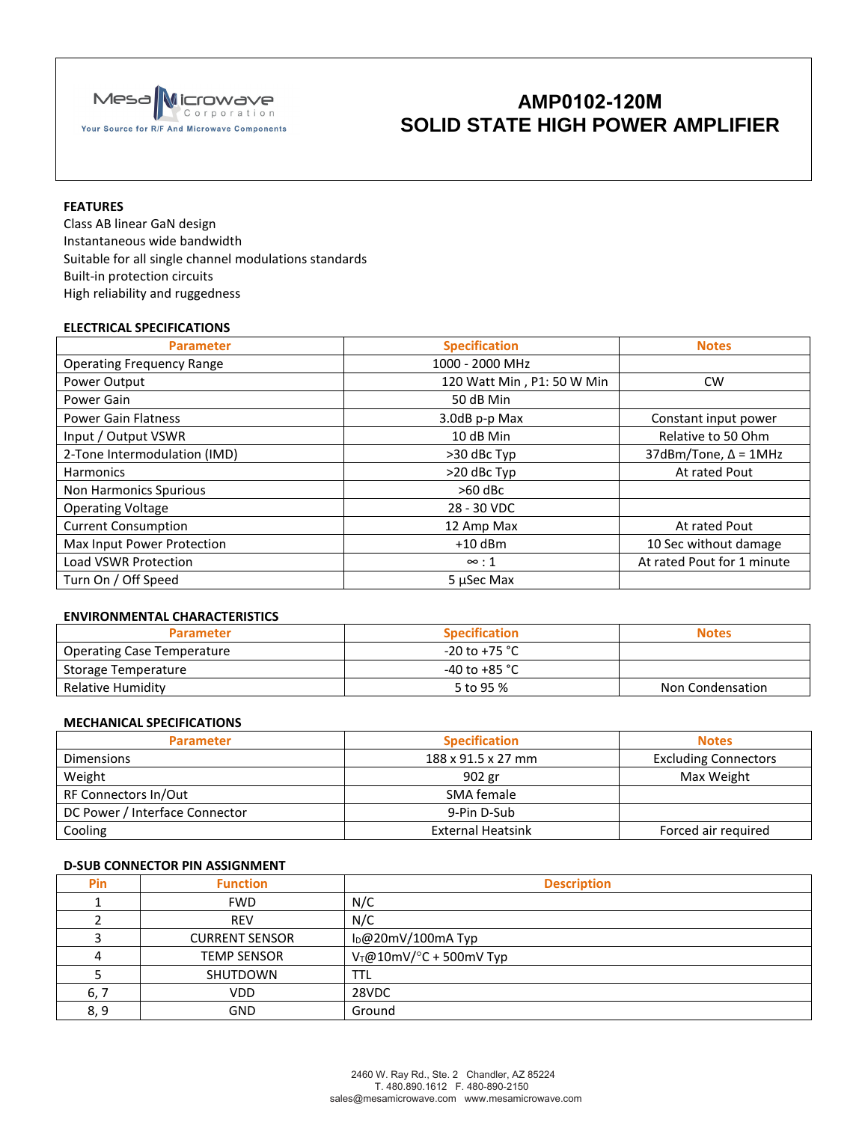

# **AMP0102-120M SOLID STATE HIGH POWER AMPLIFIER**

### **FEATURES**

Class AB linear GaN design Instantaneous wide bandwidth Suitable for all single channel modulations standards Built-in protection circuits High reliability and ruggedness

### **ELECTRICAL SPECIFICATIONS**

| <b>Parameter</b>                 | <b>Specification</b>       | <b>Notes</b>                   |
|----------------------------------|----------------------------|--------------------------------|
| <b>Operating Frequency Range</b> | 1000 - 2000 MHz            |                                |
| Power Output                     | 120 Watt Min, P1: 50 W Min | <b>CW</b>                      |
| Power Gain                       | 50 dB Min                  |                                |
| <b>Power Gain Flatness</b>       | 3.0dB p-p Max              | Constant input power           |
| Input / Output VSWR              | 10 dB Min                  | Relative to 50 Ohm             |
| 2-Tone Intermodulation (IMD)     | >30 dBc Typ                | $37d$ Bm/Tone, $\Delta$ = 1MHz |
| <b>Harmonics</b>                 | >20 dBc Typ                | At rated Pout                  |
| Non Harmonics Spurious           | $>60$ dBc                  |                                |
| <b>Operating Voltage</b>         | 28 - 30 VDC                |                                |
| <b>Current Consumption</b>       | 12 Amp Max                 | At rated Pout                  |
| Max Input Power Protection       | $+10$ dBm                  | 10 Sec without damage          |
| <b>Load VSWR Protection</b>      | $\infty:1$                 | At rated Pout for 1 minute     |
| Turn On / Off Speed              | 5 µSec Max                 |                                |

## **ENVIRONMENTAL CHARACTERISTICS**

| <b>Parameter</b>           | <b>Specification</b> | <b>Notes</b>     |
|----------------------------|----------------------|------------------|
| Operating Case Temperature | $-20$ to +75 °C      |                  |
| Storage Temperature        | -40 to +85 °C        |                  |
| Relative Humidity          | 5 to 95 %            | Non Condensation |

#### **MECHANICAL SPECIFICATIONS**

| <b>Parameter</b>               | <b>Specification</b>     | <b>Notes</b>                |
|--------------------------------|--------------------------|-----------------------------|
| <b>Dimensions</b>              | 188 x 91.5 x 27 mm       | <b>Excluding Connectors</b> |
| Weight                         | 902 gr                   | Max Weight                  |
| RF Connectors In/Out           | SMA female               |                             |
| DC Power / Interface Connector | 9-Pin D-Sub              |                             |
| Cooling                        | <b>External Heatsink</b> | Forced air required         |

## **D-SUB CONNECTOR PIN ASSIGNMENT**

| <b>Pin</b> | <b>Function</b>       | <b>Description</b>        |
|------------|-----------------------|---------------------------|
|            | <b>FWD</b>            | N/C                       |
|            | <b>REV</b>            | N/C                       |
|            | <b>CURRENT SENSOR</b> | $I_D@20mV/100mA$ Typ      |
|            | <b>TEMP SENSOR</b>    | $V_T@10mV/°C + 500mV$ Typ |
|            | SHUTDOWN              | TTL                       |
| 6, 7       | <b>VDD</b>            | 28VDC                     |
| 8, 9       | GND                   | Ground                    |